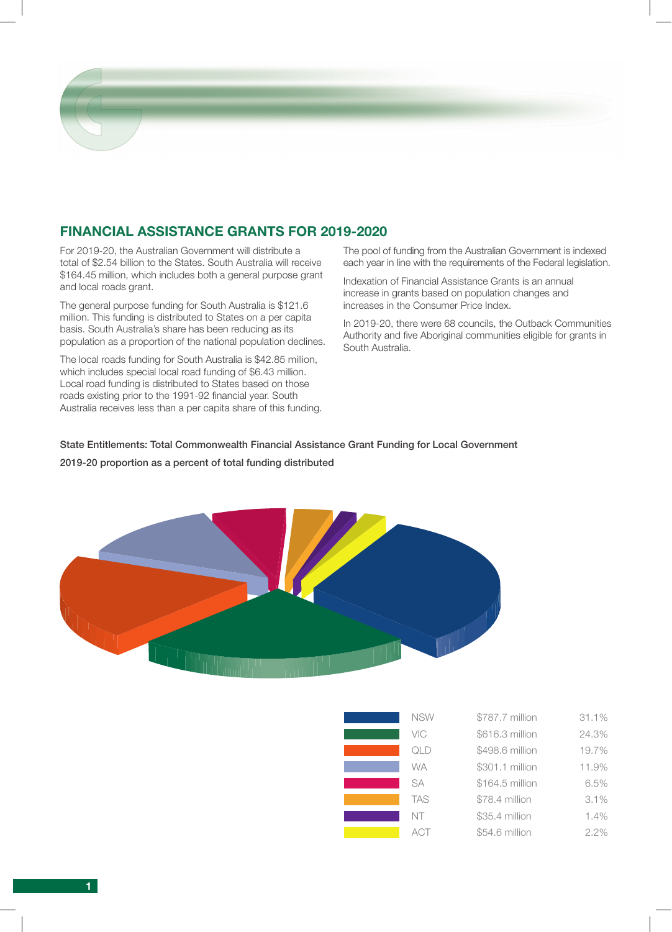

For 2019-20, the Australian Government will distribute a total of \$2.54 billion to the States. South Australia will receive \$164.45 million, which includes both a general purpose grant and local roads grant.

The general purpose funding for South Australia is \$121.6 million. This funding is distributed to States on a per capita basis. South Australia's share has been reducing as its population as a proportion of the national population declines.

The local roads funding for South Australia is \$42.85 million, which includes special local road funding of \$6.43 million. Local road funding is distributed to States based on those roads existing prior to the 1991-92 financial year. South Australia receives less than a per capita share of this funding. The pool of funding from the Australian Government is indexed each year in line with the requirements of the Federal legislation.

Indexation of Financial Assistance Grants is an annual increase in grants based on population changes and increases in the Consumer Price Index.

In 2019-20, there were 68 councils, the Outback Communities Authority and five Aboriginal communities eligible for grants in South Australia.

### State Entitlements: Total Commonwealth Financial Assistance Grant Funding for Local Government

### 2019-20 proportion as a percent of total funding distributed



| <b>NSW</b> | \$787.7 million | 31.1% |
|------------|-----------------|-------|
| VIC        | \$616.3 million | 24.3% |
| QLD        | \$498.6 million | 19.7% |
| <b>WA</b>  | \$301.1 million | 11.9% |
| <b>SA</b>  | \$164.5 million | 6.5%  |
| <b>TAS</b> | \$78.4 million  | 3.1%  |
| NT         | \$35.4 million  | 1.4%  |
| ACT        | \$54.6 million  | 2.2%  |